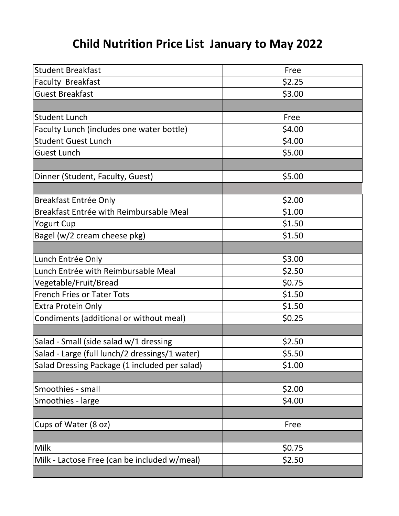## **Child Nutrition Price List January to May 2022**

| <b>Student Breakfast</b>                       | Free   |
|------------------------------------------------|--------|
| <b>Faculty Breakfast</b>                       | \$2.25 |
| <b>Guest Breakfast</b>                         | \$3.00 |
|                                                |        |
| <b>Student Lunch</b>                           | Free   |
| Faculty Lunch (includes one water bottle)      | \$4.00 |
| <b>Student Guest Lunch</b>                     | \$4.00 |
| <b>Guest Lunch</b>                             | \$5.00 |
|                                                |        |
| Dinner (Student, Faculty, Guest)               | \$5.00 |
|                                                |        |
| <b>Breakfast Entrée Only</b>                   | \$2.00 |
| Breakfast Entrée with Reimbursable Meal        | \$1.00 |
| <b>Yogurt Cup</b>                              | \$1.50 |
| Bagel (w/2 cream cheese pkg)                   | \$1.50 |
|                                                |        |
| Lunch Entrée Only                              | \$3.00 |
| Lunch Entrée with Reimbursable Meal            | \$2.50 |
| Vegetable/Fruit/Bread                          | \$0.75 |
| <b>French Fries or Tater Tots</b>              | \$1.50 |
| Extra Protein Only                             | \$1.50 |
| Condiments (additional or without meal)        | \$0.25 |
|                                                |        |
| Salad - Small (side salad w/1 dressing         | \$2.50 |
| Salad - Large (full lunch/2 dressings/1 water) | \$5.50 |
| Salad Dressing Package (1 included per salad)  | \$1.00 |
|                                                |        |
| Smoothies - small                              | \$2.00 |
| Smoothies - large                              | \$4.00 |
|                                                |        |
| Cups of Water (8 oz)                           | Free   |
|                                                |        |
| Milk                                           | \$0.75 |
| Milk - Lactose Free (can be included w/meal)   | \$2.50 |
|                                                |        |